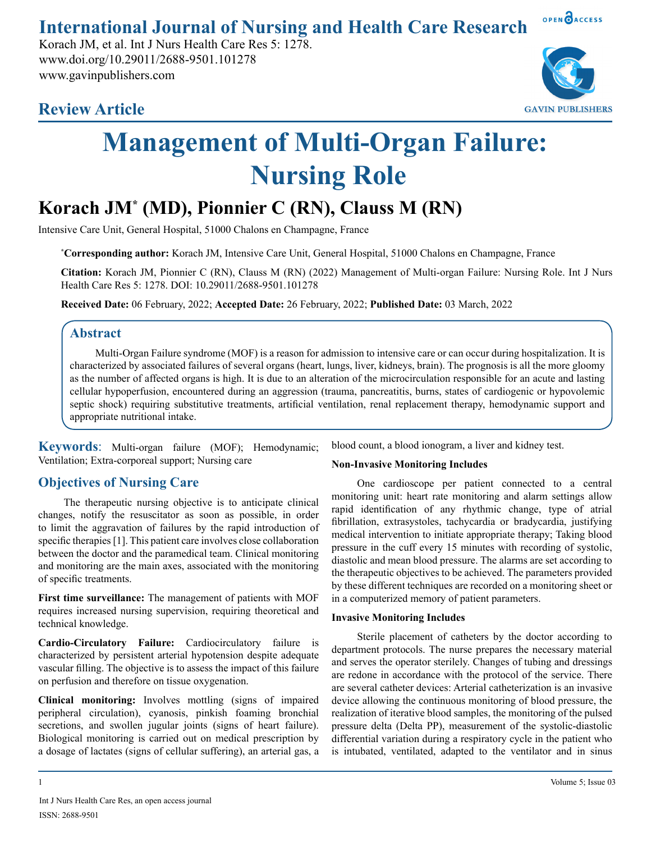**International Journal of Nursing and Health Care Research**

Korach JM, et al. Int J Nurs Health Care Res 5: 1278. www.doi.org/10.29011/2688-9501.101278 www.gavinpublishers.com





OPEN OACCESS

# **Management of Multi-Organ Failure: Nursing Role**

# **Korach JM\* (MD), Pionnier C (RN), Clauss M (RN)**

Intensive Care Unit, General Hospital, 51000 Chalons en Champagne, France

**\* Corresponding author:** Korach JM, Intensive Care Unit, General Hospital, 51000 Chalons en Champagne, France

**Citation:** Korach JM, Pionnier C (RN), Clauss M (RN) (2022) Management of Multi-organ Failure: Nursing Role. Int J Nurs Health Care Res 5: 1278. DOI: 10.29011/2688-9501.101278

**Received Date:** 06 February, 2022; **Accepted Date:** 26 February, 2022; **Published Date:** 03 March, 2022

# **Abstract**

Multi-Organ Failure syndrome (MOF) is a reason for admission to intensive care or can occur during hospitalization. It is characterized by associated failures of several organs (heart, lungs, liver, kidneys, brain). The prognosis is all the more gloomy as the number of affected organs is high. It is due to an alteration of the microcirculation responsible for an acute and lasting cellular hypoperfusion, encountered during an aggression (trauma, pancreatitis, burns, states of cardiogenic or hypovolemic septic shock) requiring substitutive treatments, artificial ventilation, renal replacement therapy, hemodynamic support and appropriate nutritional intake.

**Keywords**: Multi-organ failure (MOF); Hemodynamic; Ventilation; Extra-corporeal support; Nursing care

# **Objectives of Nursing Care**

The therapeutic nursing objective is to anticipate clinical changes, notify the resuscitator as soon as possible, in order to limit the aggravation of failures by the rapid introduction of specific therapies [1]. This patient care involves close collaboration between the doctor and the paramedical team. Clinical monitoring and monitoring are the main axes, associated with the monitoring of specific treatments.

**First time surveillance:** The management of patients with MOF requires increased nursing supervision, requiring theoretical and technical knowledge.

**Cardio-Circulatory Failure:** Cardiocirculatory failure is characterized by persistent arterial hypotension despite adequate vascular filling. The objective is to assess the impact of this failure on perfusion and therefore on tissue oxygenation.

**Clinical monitoring:** Involves mottling (signs of impaired peripheral circulation), cyanosis, pinkish foaming bronchial secretions, and swollen jugular joints (signs of heart failure). Biological monitoring is carried out on medical prescription by a dosage of lactates (signs of cellular suffering), an arterial gas, a blood count, a blood ionogram, a liver and kidney test.

#### **Non-Invasive Monitoring Includes**

One cardioscope per patient connected to a central monitoring unit: heart rate monitoring and alarm settings allow rapid identification of any rhythmic change, type of atrial fibrillation, extrasystoles, tachycardia or bradycardia, justifying medical intervention to initiate appropriate therapy; Taking blood pressure in the cuff every 15 minutes with recording of systolic, diastolic and mean blood pressure. The alarms are set according to the therapeutic objectives to be achieved. The parameters provided by these different techniques are recorded on a monitoring sheet or in a computerized memory of patient parameters.

#### **Invasive Monitoring Includes**

Sterile placement of catheters by the doctor according to department protocols. The nurse prepares the necessary material and serves the operator sterilely. Changes of tubing and dressings are redone in accordance with the protocol of the service. There are several catheter devices: Arterial catheterization is an invasive device allowing the continuous monitoring of blood pressure, the realization of iterative blood samples, the monitoring of the pulsed pressure delta (Delta PP), measurement of the systolic-diastolic differential variation during a respiratory cycle in the patient who is intubated, ventilated, adapted to the ventilator and in sinus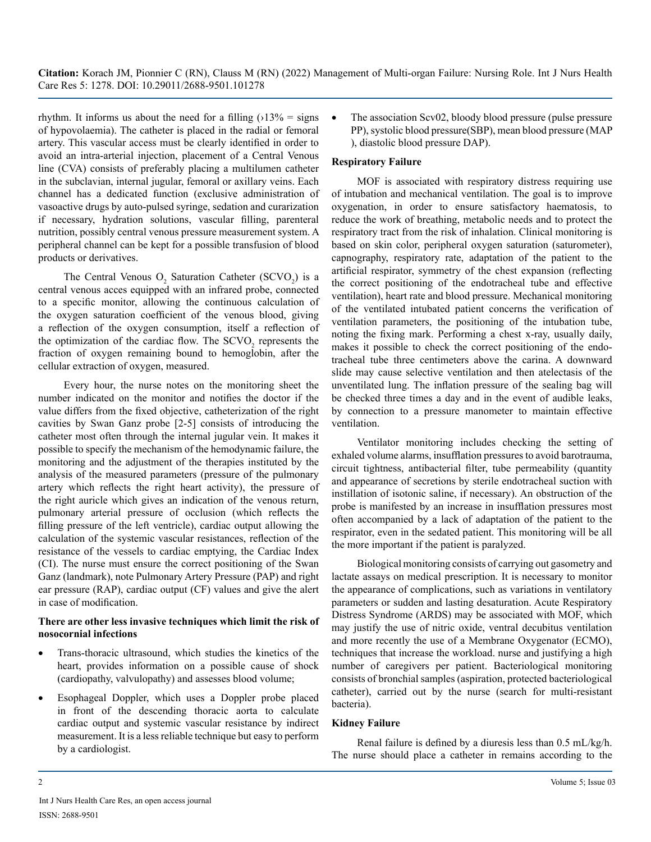**Citation:** Korach JM, Pionnier C (RN), Clauss M (RN) (2022) Management of Multi-organ Failure: Nursing Role. Int J Nurs Health Care Res 5: 1278. DOI: 10.29011/2688-9501.101278

rhythm. It informs us about the need for a filling  $(13\% = \text{signs})$ of hypovolaemia). The catheter is placed in the radial or femoral artery. This vascular access must be clearly identified in order to avoid an intra-arterial injection, placement of a Central Venous line (CVA) consists of preferably placing a multilumen catheter in the subclavian, internal jugular, femoral or axillary veins. Each channel has a dedicated function (exclusive administration of vasoactive drugs by auto-pulsed syringe, sedation and curarization if necessary, hydration solutions, vascular filling, parenteral nutrition, possibly central venous pressure measurement system. A peripheral channel can be kept for a possible transfusion of blood products or derivatives.

The Central Venous  $O_2$  Saturation Catheter (SCVO<sub>2</sub>) is a central venous acces equipped with an infrared probe, connected to a specific monitor, allowing the continuous calculation of the oxygen saturation coefficient of the venous blood, giving a reflection of the oxygen consumption, itself a reflection of the optimization of the cardiac flow. The  $SCVO<sub>2</sub>$  represents the fraction of oxygen remaining bound to hemoglobin, after the cellular extraction of oxygen, measured.

Every hour, the nurse notes on the monitoring sheet the number indicated on the monitor and notifies the doctor if the value differs from the fixed objective, catheterization of the right cavities by Swan Ganz probe [2-5] consists of introducing the catheter most often through the internal jugular vein. It makes it possible to specify the mechanism of the hemodynamic failure, the monitoring and the adjustment of the therapies instituted by the analysis of the measured parameters (pressure of the pulmonary artery which reflects the right heart activity), the pressure of the right auricle which gives an indication of the venous return, pulmonary arterial pressure of occlusion (which reflects the filling pressure of the left ventricle), cardiac output allowing the calculation of the systemic vascular resistances, reflection of the resistance of the vessels to cardiac emptying, the Cardiac Index (CI). The nurse must ensure the correct positioning of the Swan Ganz (landmark), note Pulmonary Artery Pressure (PAP) and right ear pressure (RAP), cardiac output (CF) values and give the alert in case of modification.

#### **There are other less invasive techniques which limit the risk of nosocornial infections**

- Trans-thoracic ultrasound, which studies the kinetics of the heart, provides information on a possible cause of shock (cardiopathy, valvulopathy) and assesses blood volume;
- Esophageal Doppler, which uses a Doppler probe placed in front of the descending thoracic aorta to calculate cardiac output and systemic vascular resistance by indirect measurement. It is a less reliable technique but easy to perform by a cardiologist.

• The association Scv02, bloody blood pressure (pulse pressure PP), systolic blood pressure(SBP), mean blood pressure (MAP ), diastolic blood pressure DAP).

#### **Respiratory Failure**

MOF is associated with respiratory distress requiring use of intubation and mechanical ventilation. The goal is to improve oxygenation, in order to ensure satisfactory haematosis, to reduce the work of breathing, metabolic needs and to protect the respiratory tract from the risk of inhalation. Clinical monitoring is based on skin color, peripheral oxygen saturation (saturometer), capnography, respiratory rate, adaptation of the patient to the artificial respirator, symmetry of the chest expansion (reflecting the correct positioning of the endotracheal tube and effective ventilation), heart rate and blood pressure. Mechanical monitoring of the ventilated intubated patient concerns the verification of ventilation parameters, the positioning of the intubation tube, noting the fixing mark. Performing a chest x-ray, usually daily, makes it possible to check the correct positioning of the endotracheal tube three centimeters above the carina. A downward slide may cause selective ventilation and then atelectasis of the unventilated lung. The inflation pressure of the sealing bag will be checked three times a day and in the event of audible leaks, by connection to a pressure manometer to maintain effective ventilation.

Ventilator monitoring includes checking the setting of exhaled volume alarms, insufflation pressures to avoid barotrauma, circuit tightness, antibacterial filter, tube permeability (quantity and appearance of secretions by sterile endotracheal suction with instillation of isotonic saline, if necessary). An obstruction of the probe is manifested by an increase in insufflation pressures most often accompanied by a lack of adaptation of the patient to the respirator, even in the sedated patient. This monitoring will be all the more important if the patient is paralyzed.

Biological monitoring consists of carrying out gasometry and lactate assays on medical prescription. It is necessary to monitor the appearance of complications, such as variations in ventilatory parameters or sudden and lasting desaturation. Acute Respiratory Distress Syndrome (ARDS) may be associated with MOF, which may justify the use of nitric oxide, ventral decubitus ventilation and more recently the use of a Membrane Oxygenator (ECMO), techniques that increase the workload. nurse and justifying a high number of caregivers per patient. Bacteriological monitoring consists of bronchial samples (aspiration, protected bacteriological catheter), carried out by the nurse (search for multi-resistant bacteria).

#### **Kidney Failure**

Renal failure is defined by a diuresis less than 0.5 mL/kg/h. The nurse should place a catheter in remains according to the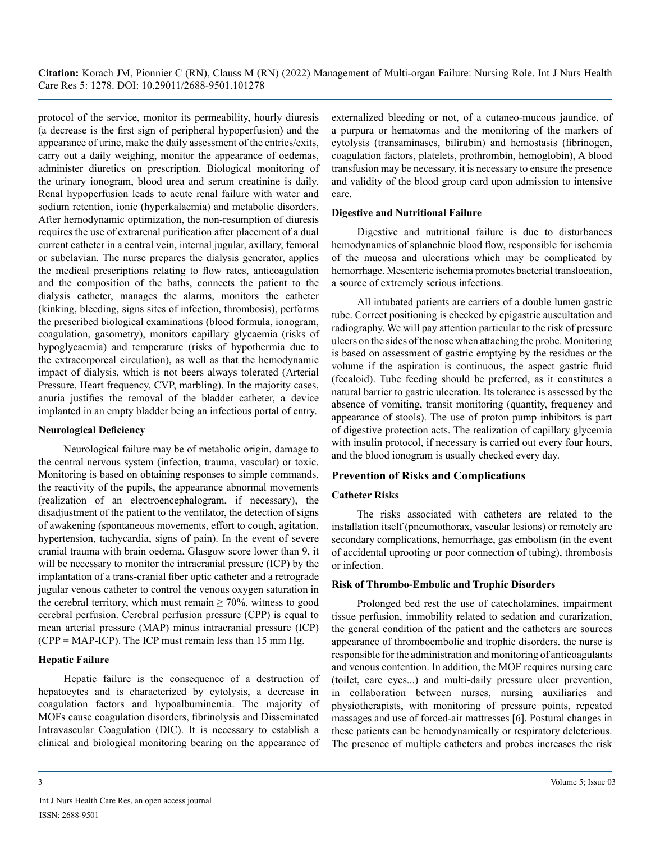**Citation:** Korach JM, Pionnier C (RN), Clauss M (RN) (2022) Management of Multi-organ Failure: Nursing Role. Int J Nurs Health Care Res 5: 1278. DOI: 10.29011/2688-9501.101278

protocol of the service, monitor its permeability, hourly diuresis (a decrease is the first sign of peripheral hypoperfusion) and the appearance of urine, make the daily assessment of the entries/exits, carry out a daily weighing, monitor the appearance of oedemas, administer diuretics on prescription. Biological monitoring of the urinary ionogram, blood urea and serum creatinine is daily. Renal hypoperfusion leads to acute renal failure with water and sodium retention, ionic (hyperkalaemia) and metabolic disorders. After hernodynamic optimization, the non-resumption of diuresis requires the use of extrarenal purification after placement of a dual current catheter in a central vein, internal jugular, axillary, femoral or subclavian. The nurse prepares the dialysis generator, applies the medical prescriptions relating to flow rates, anticoagulation and the composition of the baths, connects the patient to the dialysis catheter, manages the alarms, monitors the catheter (kinking, bleeding, signs sites of infection, thrombosis), performs the prescribed biological examinations (blood formula, ionogram, coagulation, gasometry), monitors capillary glycaemia (risks of hypoglycaemia) and temperature (risks of hypothermia due to the extracorporeal circulation), as well as that the hemodynamic impact of dialysis, which is not beers always tolerated (Arterial Pressure, Heart frequency, CVP, marbling). In the majority cases, anuria justifies the removal of the bladder catheter, a device implanted in an empty bladder being an infectious portal of entry.

#### **Neurological Deficiency**

Neurological failure may be of metabolic origin, damage to the central nervous system (infection, trauma, vascular) or toxic. Monitoring is based on obtaining responses to simple commands, the reactivity of the pupils, the appearance abnormal movements (realization of an electroencephalogram, if necessary), the disadjustment of the patient to the ventilator, the detection of signs of awakening (spontaneous movements, effort to cough, agitation, hypertension, tachycardia, signs of pain). In the event of severe cranial trauma with brain oedema, Glasgow score lower than 9, it will be necessary to monitor the intracranial pressure (ICP) by the implantation of a trans-cranial fiber optic catheter and a retrograde jugular venous catheter to control the venous oxygen saturation in the cerebral territory, which must remain  $\geq 70\%$ , witness to good cerebral perfusion. Cerebral perfusion pressure (CPP) is equal to mean arterial pressure (MAP) minus intracranial pressure (ICP) (CPP = MAP-ICP). The ICP must remain less than 15 mm Hg.

#### **Hepatic Failure**

Hepatic failure is the consequence of a destruction of hepatocytes and is characterized by cytolysis, a decrease in coagulation factors and hypoalbuminemia. The majority of MOFs cause coagulation disorders, fibrinolysis and Disseminated Intravascular Coagulation (DIC). It is necessary to establish a clinical and biological monitoring bearing on the appearance of externalized bleeding or not, of a cutaneo-mucous jaundice, of a purpura or hematomas and the monitoring of the markers of cytolysis (transaminases, bilirubin) and hemostasis (fibrinogen, coagulation factors, platelets, prothrombin, hemoglobin), A blood transfusion may be necessary, it is necessary to ensure the presence and validity of the blood group card upon admission to intensive care.

#### **Digestive and Nutritional Failure**

Digestive and nutritional failure is due to disturbances hemodynamics of splanchnic blood flow, responsible for ischemia of the mucosa and ulcerations which may be complicated by hemorrhage. Mesenteric ischemia promotes bacterial translocation, a source of extremely serious infections.

All intubated patients are carriers of a double lumen gastric tube. Correct positioning is checked by epigastric auscultation and radiography. We will pay attention particular to the risk of pressure ulcers on the sides of the nose when attaching the probe. Monitoring is based on assessment of gastric emptying by the residues or the volume if the aspiration is continuous, the aspect gastric fluid (fecaloid). Tube feeding should be preferred, as it constitutes a natural barrier to gastric ulceration. Its tolerance is assessed by the absence of vomiting, transit monitoring (quantity, frequency and appearance of stools). The use of proton pump inhibitors is part of digestive protection acts. The realization of capillary glycemia with insulin protocol, if necessary is carried out every four hours, and the blood ionogram is usually checked every day.

#### **Prevention of Risks and Complications**

#### **Catheter Risks**

The risks associated with catheters are related to the installation itself (pneumothorax, vascular lesions) or remotely are secondary complications, hemorrhage, gas embolism (in the event of accidental uprooting or poor connection of tubing), thrombosis or infection.

#### **Risk of Thrombo-Embolic and Trophic Disorders**

Prolonged bed rest the use of catecholamines, impairment tissue perfusion, immobility related to sedation and curarization, the general condition of the patient and the catheters are sources appearance of thromboembolic and trophic disorders. the nurse is responsible for the administration and monitoring of anticoagulants and venous contention. In addition, the MOF requires nursing care (toilet, care eyes...) and multi-daily pressure ulcer prevention, in collaboration between nurses, nursing auxiliaries and physiotherapists, with monitoring of pressure points, repeated massages and use of forced-air mattresses [6]. Postural changes in these patients can be hemodynamically or respiratory deleterious. The presence of multiple catheters and probes increases the risk